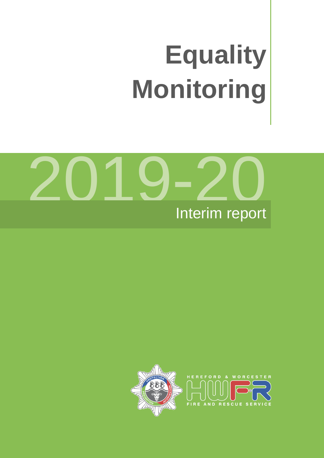# **Equality Monitoring**



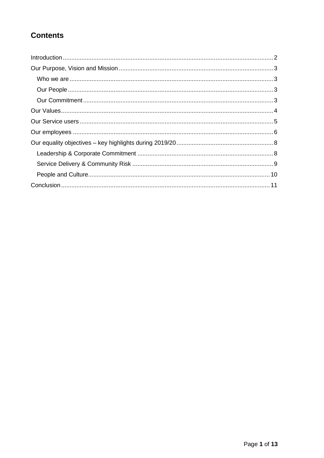# **Contents**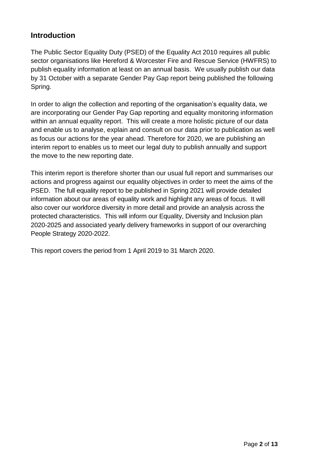## <span id="page-2-0"></span>**Introduction**

The Public Sector Equality Duty (PSED) of the Equality Act 2010 requires all public sector organisations like Hereford & Worcester Fire and Rescue Service (HWFRS) to publish equality information at least on an annual basis. We usually publish our data by 31 October with a separate Gender Pay Gap report being published the following Spring.

In order to align the collection and reporting of the organisation's equality data, we are incorporating our Gender Pay Gap reporting and equality monitoring information within an annual equality report. This will create a more holistic picture of our data and enable us to analyse, explain and consult on our data prior to publication as well as focus our actions for the year ahead. Therefore for 2020, we are publishing an interim report to enables us to meet our legal duty to publish annually and support the move to the new reporting date.

This interim report is therefore shorter than our usual full report and summarises our actions and progress against our equality objectives in order to meet the aims of the PSED. The full equality report to be published in Spring 2021 will provide detailed information about our areas of equality work and highlight any areas of focus. It will also cover our workforce diversity in more detail and provide an analysis across the protected characteristics. This will inform our Equality, Diversity and Inclusion plan 2020-2025 and associated yearly delivery frameworks in support of our overarching People Strategy 2020-2022.

This report covers the period from 1 April 2019 to 31 March 2020.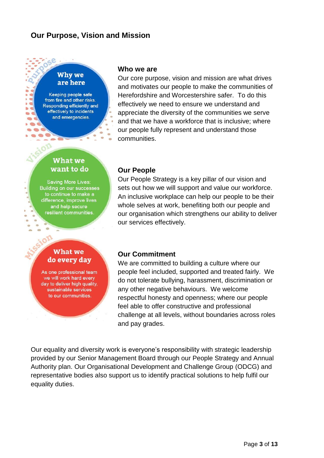## <span id="page-3-0"></span>**Our Purpose, Vision and Mission**

#### **Why we** are here

Keeping people safe from fire and other risks. Responding efficiently and effectively to incidents and emergencies.

 $\overline{\phantom{a}}$ 

 $\blacksquare$ 

 $\overline{\phantom{a}}$ 

 $\bullet$  $\sim$   $\approx$ 

ь

## **What we** want to do

**Saving More Lives: Building on our successes** to continue to make a difference, improve lives and help secure resilient communities

#### **What we** do every day

As one professional team we will work hard every day to deliver high quality, sustainable services to our communities.

#### <span id="page-3-1"></span>**Who we are**

Our core purpose, vision and mission are what drives and motivates our people to make the communities of Herefordshire and Worcestershire safer. To do this effectively we need to ensure we understand and appreciate the diversity of the communities we serve and that we have a workforce that is inclusive; where our people fully represent and understand those communities.

#### <span id="page-3-2"></span>**Our People**

Our People Strategy is a key pillar of our vision and sets out how we will support and value our workforce. An inclusive workplace can help our people to be their whole selves at work, benefiting both our people and our organisation which strengthens our ability to deliver our services effectively.

#### <span id="page-3-3"></span>**Our Commitment**

We are committed to building a culture where our people feel included, supported and treated fairly. We do not tolerate bullying, harassment, discrimination or any other negative behaviours. We welcome respectful honesty and openness; where our people feel able to offer constructive and professional challenge at all levels, without boundaries across roles and pay grades.

Our equality and diversity work is everyone's responsibility with strategic leadership provided by our Senior Management Board through our People Strategy and Annual Authority plan. Our Organisational Development and Challenge Group (ODCG) and representative bodies also support us to identify practical solutions to help fulfil our equality duties.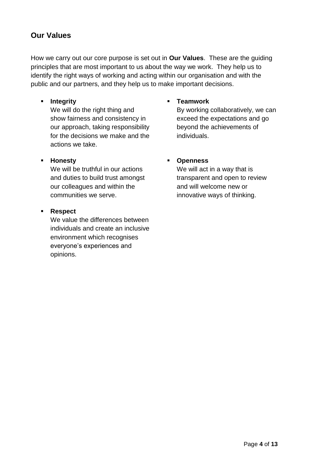## <span id="page-4-0"></span>**Our Values**

How we carry out our core purpose is set out in **Our Values**. These are the guiding principles that are most important to us about the way we work. They help us to identify the right ways of working and acting within our organisation and with the public and our partners, and they help us to make important decisions.

#### **Integrity**

We will do the right thing and show fairness and consistency in our approach, taking responsibility for the decisions we make and the actions we take.

#### **Honesty**

We will be truthful in our actions and duties to build trust amongst our colleagues and within the communities we serve.

#### **Respect**

We value the differences between individuals and create an inclusive environment which recognises everyone's experiences and opinions.

#### **Teamwork**

By working collaboratively, we can exceed the expectations and go beyond the achievements of individuals.

#### **Openness**

We will act in a way that is transparent and open to review and will welcome new or innovative ways of thinking.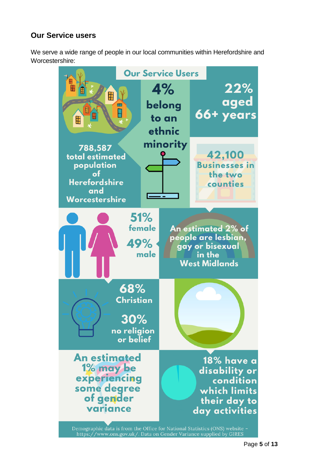# <span id="page-5-0"></span>**Our Service users**

We serve a wide range of people in our local communities within Herefordshire and Worcestershire:

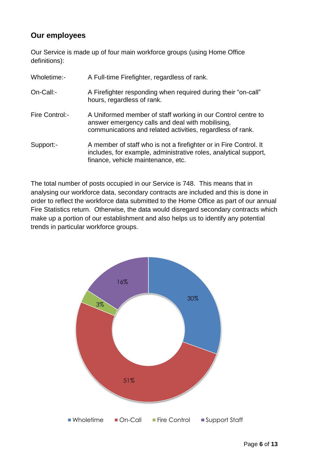## <span id="page-6-0"></span>**Our employees**

Our Service is made up of four main workforce groups (using Home Office definitions):

| Wholetime:-    | A Full-time Firefighter, regardless of rank.                                                                                                                                   |
|----------------|--------------------------------------------------------------------------------------------------------------------------------------------------------------------------------|
| On-Call:-      | A Firefighter responding when required during their "on-call"<br>hours, regardless of rank.                                                                                    |
| Fire Control:- | A Uniformed member of staff working in our Control centre to<br>answer emergency calls and deal with mobilising,<br>communications and related activities, regardless of rank. |
| Support:-      | A member of staff who is not a firefighter or in Fire Control. It<br>includes, for example, administrative roles, analytical support,<br>finance, vehicle maintenance, etc.    |

The total number of posts occupied in our Service is 748. This means that in analysing our workforce data, secondary contracts are included and this is done in order to reflect the workforce data submitted to the Home Office as part of our annual Fire Statistics return. Otherwise, the data would disregard secondary contracts which make up a portion of our establishment and also helps us to identify any potential trends in particular workforce groups.

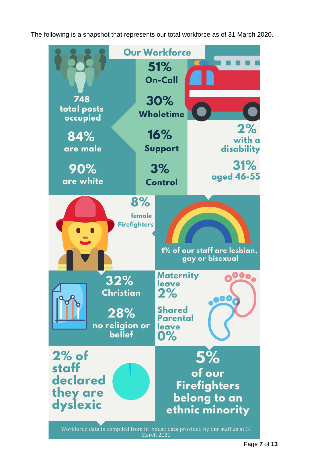The following is a snapshot that represents our total workforce as of 31 March 2020.

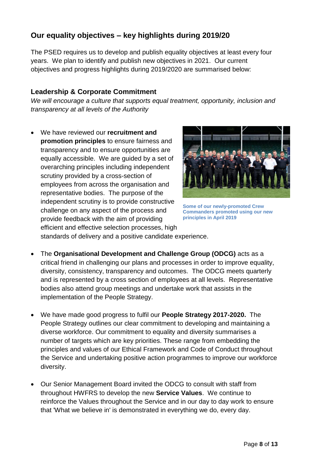# <span id="page-8-0"></span>**Our equality objectives – key highlights during 2019/20**

The PSED requires us to develop and publish equality objectives at least every four years. We plan to identify and publish new objectives in 2021. Our current objectives and progress highlights during 2019/2020 are summarised below:

### <span id="page-8-1"></span>**Leadership & Corporate Commitment**

*We will encourage a culture that supports equal treatment, opportunity, inclusion and transparency at all levels of the Authority*

 We have reviewed our **recruitment and promotion principles** to ensure fairness and transparency and to ensure opportunities are equally accessible. We are guided by a set of overarching principles including independent scrutiny provided by a cross-section of employees from across the organisation and representative bodies. The purpose of the independent scrutiny is to provide constructive challenge on any aspect of the process and provide feedback with the aim of providing efficient and effective selection processes, high



**Some of our newly-promoted Crew Commanders promoted using our new principles in April 2019**

standards of delivery and a positive candidate experience.

- The **Organisational Development and Challenge Group (ODCG)** acts as a critical friend in challenging our plans and processes in order to improve equality, diversity, consistency, transparency and outcomes. The ODCG meets quarterly and is represented by a cross section of employees at all levels. Representative bodies also attend group meetings and undertake work that assists in the implementation of the People Strategy.
- We have made good progress to fulfil our **People Strategy 2017-2020.** The People Strategy outlines our clear commitment to developing and maintaining a diverse workforce. Our commitment to equality and diversity summarises a number of targets which are key priorities. These range from embedding the principles and values of our Ethical Framework and Code of Conduct throughout the Service and undertaking positive action programmes to improve our workforce diversity.
- Our Senior Management Board invited the ODCG to consult with staff from throughout HWFRS to develop the new **Service Values**. We continue to reinforce the Values throughout the Service and in our day to day work to ensure that 'What we believe in' is demonstrated in everything we do, every day.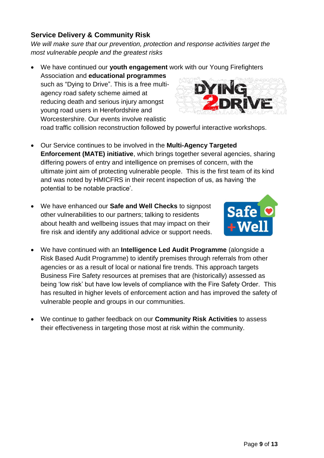## <span id="page-9-0"></span>**Service Delivery & Community Risk**

*We will make sure that our prevention, protection and response activities target the most vulnerable people and the greatest risks*

We have continued our **youth engagement** work with our Young Firefighters

Association and **educational programmes** such as "Dying to Drive". This is a free multiagency road safety scheme aimed at reducing death and serious injury amongst young road users in Herefordshire and Worcestershire. Our events involve realistic



road traffic collision reconstruction followed by powerful interactive workshops.

- Our Service continues to be involved in the **Multi-Agency Targeted Enforcement (MATE) initiative**, which brings together several agencies, sharing differing powers of entry and intelligence on premises of concern, with the ultimate joint aim of protecting vulnerable people. This is the first team of its kind and was noted by HMICFRS in their recent inspection of us, as having 'the potential to be notable practice'.
- We have enhanced our **Safe and Well Checks** to signpost other vulnerabilities to our partners; talking to residents about health and wellbeing issues that may impact on their fire risk and identify any additional advice or support needs.
- We have continued with an **Intelligence Led Audit Programme** (alongside a Risk Based Audit Programme) to identify premises through referrals from other agencies or as a result of local or national fire trends. This approach targets Business Fire Safety resources at premises that are (historically) assessed as being 'low risk' but have low levels of compliance with the Fire Safety Order. This has resulted in higher levels of enforcement action and has improved the safety of vulnerable people and groups in our communities.
- We continue to gather feedback on our **Community Risk Activities** to assess their effectiveness in targeting those most at risk within the community.

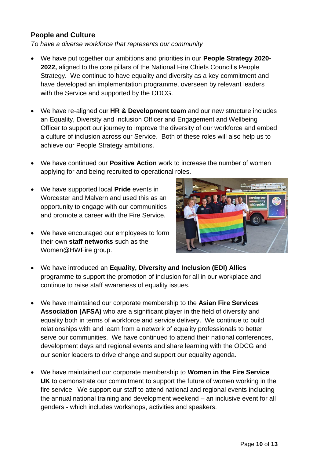#### <span id="page-10-0"></span>**People and Culture**

*To have a diverse workforce that represents our community*

- We have put together our ambitions and priorities in our **People Strategy 2020- 2022,** aligned to the core pillars of the National Fire Chiefs Council's People Strategy. We continue to have equality and diversity as a key commitment and have developed an implementation programme, overseen by relevant leaders with the Service and supported by the ODCG.
- We have re-aligned our **HR & Development team** and our new structure includes an Equality, Diversity and Inclusion Officer and Engagement and Wellbeing Officer to support our journey to improve the diversity of our workforce and embed a culture of inclusion across our Service. Both of these roles will also help us to achieve our People Strategy ambitions.
- We have continued our **Positive Action** work to increase the number of women applying for and being recruited to operational roles.
- We have supported local **Pride** events in Worcester and Malvern and used this as an opportunity to engage with our communities and promote a career with the Fire Service.
- We have encouraged our employees to form their own **staff networks** such as the Women@HWFire group.



- We have introduced an **Equality, Diversity and Inclusion (EDI) Allies** programme to support the promotion of inclusion for all in our workplace and continue to raise staff awareness of equality issues.
- We have maintained our corporate membership to the **Asian Fire Services Association (AFSA)** who are a significant player in the field of diversity and equality both in terms of workforce and service delivery. We continue to build relationships with and learn from a network of equality professionals to better serve our communities. We have continued to attend their national conferences, development days and regional events and share learning with the ODCG and our senior leaders to drive change and support our equality agenda.
- We have maintained our corporate membership to **Women in the Fire Service UK** to demonstrate our commitment to support the future of women working in the fire service. We support our staff to attend national and regional events including the annual national training and development weekend – an inclusive event for all genders - which includes workshops, activities and speakers.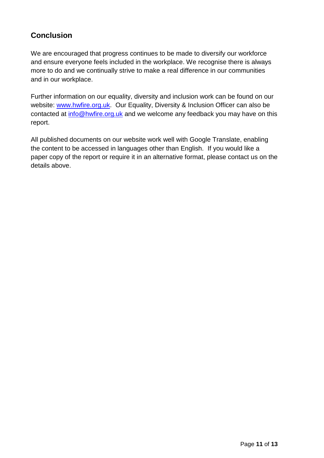# <span id="page-11-0"></span>**Conclusion**

We are encouraged that progress continues to be made to diversify our workforce and ensure everyone feels included in the workplace. We recognise there is always more to do and we continually strive to make a real difference in our communities and in our workplace.

Further information on our equality, diversity and inclusion work can be found on our website: [www.hwfire.org.uk.](http://www.whwfire.org.uk/) Our Equality, Diversity & Inclusion Officer can also be contacted at [info@hwfire.org.uk](mailto:info@hwfire.org.uk) and we welcome any feedback you may have on this report.

All published documents on our website work well with Google Translate, enabling the content to be accessed in languages other than English. If you would like a paper copy of the report or require it in an alternative format, please contact us on the details above.